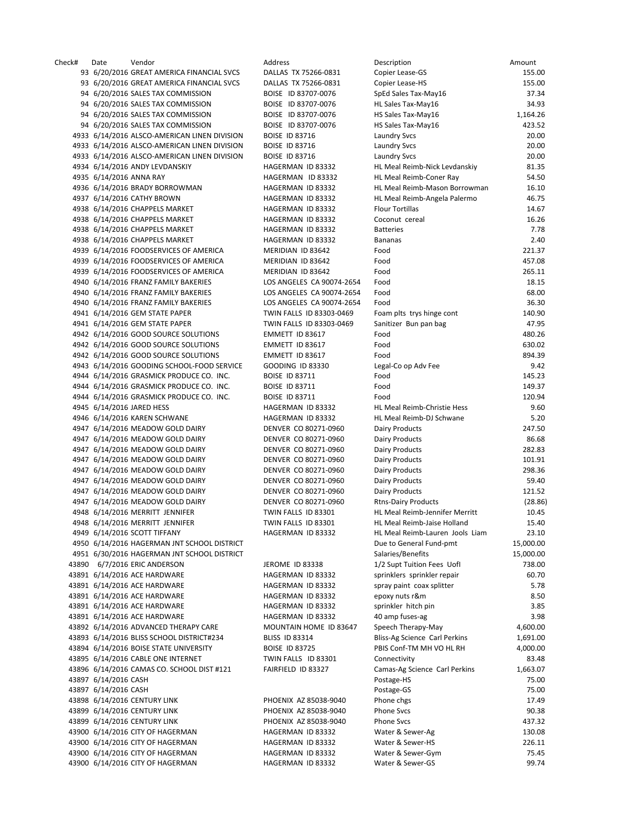Check# Date Vendor Address Description Amount 93 6/20/2016 GREAT AMERICA FINANCIAL SVCS DALLAS TX 75266-0831 C 93 6/20/2016 GREAT AMERICA FINANCIAL SVCS DALLAS TX 75266-0831 C 94 6/20/2016 SALES TAX COMMISSION BOISE ID 83707-0076 S 94 6/20/2016 SALES TAX COMMISSION BOISE ID 83707-0076 H 94 6/20/2016 SALES TAX COMMISSION BOISE ID 83707-0076 HS 94 6/20/2016 SALES TAX COMMISSION BOISE ID 83707-0076 HS 4933 6/14/2016 ALSCO-AMERICAN LINEN DIVISION BOISE ID 83716 LAUNDRY SVC 4933 6/14/2016 ALSCO-AMERICAN LINEN DIVISION BOISE ID 83716 LAUNDRY SVERIGE 4933 6/14/2016 ALSCO-AMERICAN LINEN DIVISION BOISE ID 83716 LAUNDRY SVC 4934 6/14/2016 ANDY LEVDANSKIY HAGERMAN ID 83332 4935 6/14/2016 ANNA RAY **HAGERMAN ID 83332** 4936 6/14/2016 BRADY BORROWMAN HAGERMAN ID 83332 4937 6/14/2016 CATHY BROWN HAGERMAN ID 83332 H 4938 6/14/2016 CHAPPELS MARKET HAGERMAN ID 83332 4938 6/14/2016 CHAPPELS MARKET HAGERMAN ID 83332 4938 6/14/2016 CHAPPELS MARKET HAGERMAN ID 83332 4938 6/14/2016 CHAPPELS MARKET HAGERMAN ID 83332 4939 6/14/2016 FOODSERVICES OF AMERICA MERIDIAN ID 83642 F 4939 6/14/2016 FOODSERVICES OF AMERICA MERIDIAN ID 83642 4939 6/14/2016 FOODSERVICES OF AMERICA MERIDIAN ID 83642 4940 6/14/2016 FRANZ FAMILY BAKERIES LOS ANGELES CA 90074-2654 4940 6/14/2016 FRANZ FAMILY BAKERIES LOS ANGELES CA 90074-2654 4940 6/14/2016 FRANZ FAMILY BAKERIES LOS ANGELES CA 90074-2654 F 4941 6/14/2016 GEM STATE PAPER TWIN FALLS ID 83303-0469 4941 6/14/2016 GEM STATE PAPER TWIN FALLS ID 83303-0469 4942 6/14/2016 GOOD SOURCE SOLUTIONS EMMETT ID 83617 4942 6/14/2016 GOOD SOURCE SOLUTIONS FOR THE EMMETT ID 83617 4942 6/14/2016 GOOD SOURCE SOLUTIONS EMMETT ID 83617 4943 6/14/2016 GOODING SCHOOL-FOOD SERVICE GOODING ID 83330 4944 6/14/2016 GRASMICK PRODUCE CO. INC. BOISE ID 83711 4944 6/14/2016 GRASMICK PRODUCE CO. INC. BOISE ID 83711 4944 6/14/2016 GRASMICK PRODUCE CO. INC. BOISE ID 83711 4945 6/14/2016 JARED HESS HAGERMAN ID 83332 4946 6/14/2016 KAREN SCHWANE HAGERMAN ID 83332 4947 6/14/2016 MEADOW GOLD DAIRY DENVER CO 80271-0960 DAIRY 4947 6/14/2016 MEADOW GOLD DAIRY DENVER CO 80271-0960 4947 6/14/2016 MEADOW GOLD DAIRY DENVER CO 80271-0960 4947 6/14/2016 MEADOW GOLD DAIRY DENVER CO 80271-0960 4947 6/14/2016 MEADOW GOLD DAIRY DENVER CO 80271-0960 4947 6/14/2016 MEADOW GOLD DAIRY DENVER CO 80271-0960 DAIRY 4947 6/14/2016 MEADOW GOLD DAIRY DENVER CO 80271-0960 4947 6/14/2016 MEADOW GOLD DAIRY DENVER CO 80271-0960 Rtns-Dairy Products (28.86) 4948 6/14/2016 MERRITT JENNIFER TWIN FALLS ID 83301 4948 6/14/2016 MERRITT JENNIFER TWIN FALLS ID 83301 4949 6/14/2016 SCOTT TIFFANY HAGERMAN ID 83332 4950 6/14/2016 HAGERMAN JNT SCHOOL DISTRICT 4951 6/30/2016 HAGERMAN JNT SCHOOL DISTRICT 43890 6/7/2016 ERIC ANDERSON JEROME ID 83338 43891 6/14/2016 ACE HARDWARE **HAGERMAN ID 83332** springlers in the springler repair of the springler repair of the springler repair of the springler repair of the springler repair of the springler repair of the springler r 43891 6/14/2016 ACE HARDWARE HAGERMAN ID 83332 s 43891 6/14/2016 ACE HARDWARE HAGERMAN ID 83332 e 43891 6/14/2016 ACE HARDWARE HAGERMAN ID 83332 43891 6/14/2016 ACE HARDWARE 
HAGERMAN ID 83332 4 43892 6/14/2016 ADVANCED THERAPY CARE MOUNTAIN HOME ID 83647 S 43893 6/14/2016 BLISS SCHOOL DISTRICT#234 BLISS ID 83314 BLISS 43894 6/14/2016 BOISE STATE UNIVERSITY BOISE ID 83725 43895 6/14/2016 CABLE ONE INTERNET TWIN FALLS ID 83301 C 43896 6/14/2016 CAMAS CO. SCHOOL DIST #121 FAIRFIELD ID 83327 43897 6/14/2016 CASH 43897 6/14/2016 CASH 43898 6/14/2016 CENTURY LINK PHOENIX AZ 85038-9040 P 43899 6/14/2016 CENTURY LINK PHOENIX AZ 85038-9040 P 43899 6/14/2016 CENTURY LINK PHOENIX AZ 85038-9040 P 43900 6/14/2016 CITY OF HAGERMAN HAGERMAN ID 83332 43900 6/14/2016 CITY OF HAGERMAN HAGERMAN HAGERMAN ID 83332 43900 6/14/2016 CITY OF HAGERMAN HAGERMAN ID 83332 W 43900 6/14/2016 CITY OF HAGERMAN 
WATERMAN HAGERMAN ID 83332

| )escription                     | Amount    |
|---------------------------------|-----------|
| Copier Lease-GS                 | 155.00    |
| Copier Lease-HS                 | 155.00    |
| pEd Sales Tax-May16             | 37.34     |
| IL Sales Tax-May16              | 34.93     |
| <b>IS Sales Tax-May16</b>       | 1,164.26  |
| <b>IS Sales Tax-May16</b>       | 423.52    |
| aundry Svcs.                    | 20.00     |
| aundry Svcs.                    | 20.00     |
| aundry Svcs                     | 20.00     |
| IL Meal Reimb-Nick Levdanskiy   | 81.35     |
| IL Meal Reimb-Coner Ray         | 54.50     |
| IL Meal Reimb-Mason Borrowman   | 16.10     |
| IL Meal Reimb-Angela Palermo    | 46.75     |
| lour Tortillas                  | 14.67     |
| Coconut cereal                  | 16.26     |
| 3atteries                       | 7.78      |
| 3ananas                         | 2.40      |
| ood                             | 221.37    |
| ood                             | 457.08    |
| ood                             | 265.11    |
| ood                             | 18.15     |
| ood                             | 68.00     |
| ood                             | 36.30     |
| oam plts trys hinge cont        | 140.90    |
| anitizer Bun pan bag            | 47.95     |
| ood                             | 480.26    |
| ood                             | 630.02    |
| ood                             | 894.39    |
| egal-Co op Adv Fee.             | 9.42      |
| ood                             | 145.23    |
| ood                             | 149.37    |
| ood                             | 120.94    |
| IL Meal Reimb-Christie Hess     | 9.60      |
| IL Meal Reimb-DJ Schwane        | 5.20      |
| )airy Products                  | 247.50    |
| Dairy Products                  | 86.68     |
| <b>Dairy Products</b>           | 282.83    |
| <b>Dairy Products</b>           | 101.91    |
| <b>Dairy Products</b>           | 298.36    |
| <b>Dairy Products</b>           | 59.40     |
| <b>Dairy Products</b>           | 121.52    |
| <b>Rtns-Dairy Products</b>      | (28.86)   |
| IL Meal Reimb-Jennifer Merritt  | 10.45     |
| IL Meal Reimb-Jaise Holland     | 15.40     |
| IL Meal Reimb-Lauren Jools Liam | 23.10     |
| Oue to General Fund-pmt         | 15,000.00 |
| alaries/Benefits                | 15,000.00 |
| /2 Supt Tuition Fees Uofl       | 738.00    |
| prinklers sprinkler repair      | 60.70     |
| pray paint coax splitter        | 5.78      |
| poxy nuts r&m!                  | 8.5C      |
| prinkler hitch pin              | 3.85      |
| 0 amp fuses-ag                  | 3.98      |
| peech Therapy-May               | 4,600.00  |
| Bliss-Ag Science Carl Perkins   | 1,691.00  |
| BIS Conf-TM MH VO HL RH         | 4,000.00  |
| Connectivity                    | 83.48     |
| Camas-Ag Science Carl Perkins   | 1,663.07  |
| ostage-HS                       | 75.00     |
| ostage-GS                       | 75.00     |
| hone chgs <sup></sup>           | 17.49     |
| hone Svcs                       | 90.38     |
| hone Svcs                       | 437.32    |
| Vater & Sewer-Ag                | 130.08    |
| Vater & Sewer-HS                | 226.11    |
| Vater & Sewer-Gym               | 75.45     |
| Vater & Sewer-GS                | 99.74     |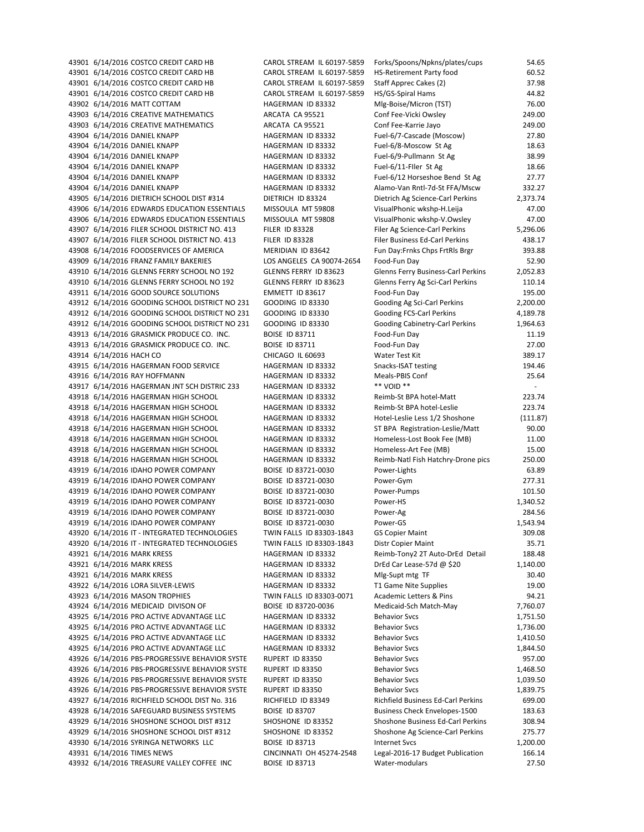| 43901 6/14/2016 COSTCO CREDIT CARD HB          | CAROL STREAM IL 60197-5859 | Forks/Spoons/Npkns/plates/cups       | 54.65    |
|------------------------------------------------|----------------------------|--------------------------------------|----------|
| 43901 6/14/2016 COSTCO CREDIT CARD HB          | CAROL STREAM IL 60197-5859 | <b>HS-Retirement Party food</b>      | 60.52    |
| 43901 6/14/2016 COSTCO CREDIT CARD HB          | CAROL STREAM IL 60197-5859 | Staff Apprec Cakes (2)               | 37.98    |
| 43901 6/14/2016 COSTCO CREDIT CARD HB          | CAROL STREAM IL 60197-5859 | HS/GS-Spiral Hams                    | 44.82    |
| 43902 6/14/2016 MATT COTTAM                    | HAGERMAN ID 83332          | Mlg-Boise/Micron (TST)               | 76.00    |
| 43903 6/14/2016 CREATIVE MATHEMATICS           | ARCATA CA 95521            | Conf Fee-Vicki Owsley                | 249.00   |
| 43903 6/14/2016 CREATIVE MATHEMATICS           | ARCATA CA 95521            | Conf Fee-Karrie Jayo                 | 249.00   |
| 43904 6/14/2016 DANIEL KNAPP                   | HAGERMAN ID 83332          | Fuel-6/7-Cascade (Moscow)            | 27.80    |
| 43904 6/14/2016 DANIEL KNAPP                   | HAGERMAN ID 83332          | Fuel-6/8-Moscow St Ag                | 18.63    |
| 43904 6/14/2016 DANIEL KNAPP                   | HAGERMAN ID 83332          | Fuel-6/9-Pullmann St Ag              | 38.99    |
| 43904 6/14/2016 DANIEL KNAPP                   | HAGERMAN ID 83332          | Fuel-6/11-Filer St Ag                | 18.66    |
| 43904 6/14/2016 DANIEL KNAPP                   | HAGERMAN ID 83332          | Fuel-6/12 Horseshoe Bend St Ag       | 27.77    |
| 43904 6/14/2016 DANIEL KNAPP                   | HAGERMAN ID 83332          | Alamo-Van Rntl-7d-St FFA/Mscw        | 332.27   |
| 43905 6/14/2016 DIETRICH SCHOOL DIST #314      | DIETRICH ID 83324          | Dietrich Ag Science-Carl Perkins     | 2,373.74 |
| 43906 6/14/2016 EDWARDS EDUCATION ESSENTIALS   | MISSOULA MT 59808          | VisualPhonic wkshp-H.Leija           | 47.00    |
| 43906 6/14/2016 EDWARDS EDUCATION ESSENTIALS   | MISSOULA MT 59808          | VisualPhonic wkshp-V.Owsley          | 47.00    |
| 43907 6/14/2016 FILER SCHOOL DISTRICT NO. 413  | <b>FILER ID 83328</b>      | Filer Ag Science-Carl Perkins        | 5,296.06 |
| 43907 6/14/2016 FILER SCHOOL DISTRICT NO. 413  | <b>FILER ID 83328</b>      | Filer Business Ed-Carl Perkins       | 438.17   |
| 43908 6/14/2016 FOODSERVICES OF AMERICA        | MERIDIAN ID 83642          | Fun Day: Frnks Chps FrtRls Brgr      | 393.88   |
| 43909 6/14/2016 FRANZ FAMILY BAKERIES          | LOS ANGELES CA 90074-2654  | Food-Fun Day                         | 52.90    |
| 43910 6/14/2016 GLENNS FERRY SCHOOL NO 192     | GLENNS FERRY ID 83623      | Glenns Ferry Business-Carl Perkins   | 2,052.83 |
| 43910 6/14/2016 GLENNS FERRY SCHOOL NO 192     | GLENNS FERRY ID 83623      | Glenns Ferry Ag Sci-Carl Perkins     | 110.14   |
| 43911 6/14/2016 GOOD SOURCE SOLUTIONS          | EMMETT ID 83617            | Food-Fun Day                         | 195.00   |
| 43912 6/14/2016 GOODING SCHOOL DISTRICT NO 231 | <b>GOODING ID 83330</b>    | Gooding Ag Sci-Carl Perkins          | 2,200.00 |
| 43912 6/14/2016 GOODING SCHOOL DISTRICT NO 231 | GOODING ID 83330           | Gooding FCS-Carl Perkins             | 4,189.78 |
| 43912 6/14/2016 GOODING SCHOOL DISTRICT NO 231 | GOODING ID 83330           | Gooding Cabinetry-Carl Perkins       | 1,964.63 |
| 43913 6/14/2016 GRASMICK PRODUCE CO. INC.      | <b>BOISE ID 83711</b>      | Food-Fun Day                         | 11.19    |
| 43913 6/14/2016 GRASMICK PRODUCE CO. INC.      | <b>BOISE ID 83711</b>      | Food-Fun Day                         | 27.00    |
| 43914 6/14/2016 HACH CO                        | CHICAGO IL 60693           | Water Test Kit                       | 389.17   |
| 43915 6/14/2016 HAGERMAN FOOD SERVICE          | HAGERMAN ID 83332          | Snacks-ISAT testing                  | 194.46   |
| 43916 6/14/2016 RAY HOFFMANN                   | HAGERMAN ID 83332          | Meals-PBIS Conf                      | 25.64    |
| 43917 6/14/2016 HAGERMAN JNT SCH DISTRIC 233   | HAGERMAN ID 83332          | ** VOID **                           |          |
| 43918 6/14/2016 HAGERMAN HIGH SCHOOL           | HAGERMAN ID 83332          | Reimb-St BPA hotel-Matt              | 223.74   |
| 43918 6/14/2016 HAGERMAN HIGH SCHOOL           | HAGERMAN ID 83332          | Reimb-St BPA hotel-Leslie            | 223.74   |
| 43918 6/14/2016 HAGERMAN HIGH SCHOOL           | HAGERMAN ID 83332          | Hotel-Leslie Less 1/2 Shoshone       | (111.87  |
| 43918 6/14/2016 HAGERMAN HIGH SCHOOL           | HAGERMAN ID 83332          | ST BPA Registration-Leslie/Matt      | 90.00    |
| 43918 6/14/2016 HAGERMAN HIGH SCHOOL           | HAGERMAN ID 83332          | Homeless-Lost Book Fee (MB)          | 11.00    |
| 43918 6/14/2016 HAGERMAN HIGH SCHOOL           | HAGERMAN ID 83332          | Homeless-Art Fee (MB)                | 15.00    |
| 43918 6/14/2016 HAGERMAN HIGH SCHOOL           | HAGERMAN ID 83332          | Reimb-Natl Fish Hatchry-Drone pics   | 250.00   |
| 43919 6/14/2016 IDAHO POWER COMPANY            | BOISE ID 83721-0030        | Power-Lights                         | 63.89    |
| 43919 6/14/2016 IDAHO POWER COMPANY            | BOISE ID 83721-0030        | Power-Gym                            | 277.31   |
| 43919 6/14/2016 IDAHO POWER COMPANY            | BOISE ID 83721-0030        | Power-Pumps                          | 101.50   |
| 43919 6/14/2016 IDAHO POWER COMPANY            | BOISE ID 83721-0030        | Power-HS                             | 1,340.52 |
| 43919 6/14/2016 IDAHO POWER COMPANY            | BOISE ID 83721-0030        | Power-Ag                             | 284.56   |
| 43919 6/14/2016 IDAHO POWER COMPANY            | BOISE ID 83721-0030        | Power-GS                             | 1,543.94 |
| 43920 6/14/2016 IT - INTEGRATED TECHNOLOGIES   | TWIN FALLS ID 83303-1843   | <b>GS Copier Maint</b>               | 309.08   |
| 43920 6/14/2016 IT - INTEGRATED TECHNOLOGIES   | TWIN FALLS ID 83303-1843   | Distr Copier Maint                   | 35.71    |
| 43921 6/14/2016 MARK KRESS                     | HAGERMAN ID 83332          | Reimb-Tony2 2T Auto-DrEd Detail      | 188.48   |
| 43921 6/14/2016 MARK KRESS                     | HAGERMAN ID 83332          | DrEd Car Lease-57d $@$ \$20          | 1,140.00 |
| 43921 6/14/2016 MARK KRESS                     | HAGERMAN ID 83332          | Mlg-Supt mtg TF                      | 30.40    |
| 43922 6/14/2016 LORA SILVER-LEWIS              | HAGERMAN ID 83332          | T1 Game Nite Supplies                | 19.00    |
| 43923 6/14/2016 MASON TROPHIES                 | TWIN FALLS ID 83303-0071   | Academic Letters & Pins              | 94.21    |
| 43924 6/14/2016 MEDICAID DIVISON OF            | BOISE ID 83720-0036        | Medicaid-Sch Match-May               | 7,760.07 |
| 43925 6/14/2016 PRO ACTIVE ADVANTAGE LLC       | HAGERMAN ID 83332          | <b>Behavior Svcs</b>                 | 1,751.50 |
| 43925 6/14/2016 PRO ACTIVE ADVANTAGE LLC       | HAGERMAN ID 83332          | <b>Behavior Svcs</b>                 | 1,736.00 |
| 43925 6/14/2016 PRO ACTIVE ADVANTAGE LLC       | HAGERMAN ID 83332          | <b>Behavior Svcs</b>                 | 1,410.50 |
| 43925 6/14/2016 PRO ACTIVE ADVANTAGE LLC       | HAGERMAN ID 83332          | <b>Behavior Svcs</b>                 | 1,844.50 |
| 43926 6/14/2016 PBS-PROGRESSIVE BEHAVIOR SYSTE | RUPERT ID 83350            | <b>Behavior Svcs</b>                 | 957.00   |
| 43926 6/14/2016 PBS-PROGRESSIVE BEHAVIOR SYSTE | RUPERT ID 83350            | <b>Behavior Svcs</b>                 | 1,468.50 |
| 43926 6/14/2016 PBS-PROGRESSIVE BEHAVIOR SYSTE | RUPERT ID 83350            | <b>Behavior Svcs</b>                 | 1,039.50 |
| 43926 6/14/2016 PBS-PROGRESSIVE BEHAVIOR SYSTE | RUPERT ID 83350            | <b>Behavior Svcs</b>                 | 1,839.75 |
| 43927 6/14/2016 RICHFIELD SCHOOL DIST No. 316  | RICHFIELD ID 83349         | Richfield Business Ed-Carl Perkins   | 699.00   |
| 43928 6/14/2016 SAFEGUARD BUSINESS SYSTEMS     | <b>BOISE ID 83707</b>      | <b>Business Check Envelopes-1500</b> | 183.63   |
| 43929 6/14/2016 SHOSHONE SCHOOL DIST #312      | SHOSHONE ID 83352          | Shoshone Business Ed-Carl Perkins    | 308.94   |
| 43929 6/14/2016 SHOSHONE SCHOOL DIST #312      | SHOSHONE ID 83352          | Shoshone Ag Science-Carl Perkins     | 275.77   |
| 43930 6/14/2016 SYRINGA NETWORKS LLC           | <b>BOISE ID 83713</b>      | <b>Internet Svcs</b>                 | 1,200.00 |
| 43931 6/14/2016 TIMES NEWS                     | CINCINNATI OH 45274-2548   | Legal-2016-17 Budget Publication     | 166.14   |
| 43932 6/14/2016 TREASURE VALLEY COFFEE INC     | <b>BOISE ID 83713</b>      | Water-modulars                       | 27.50    |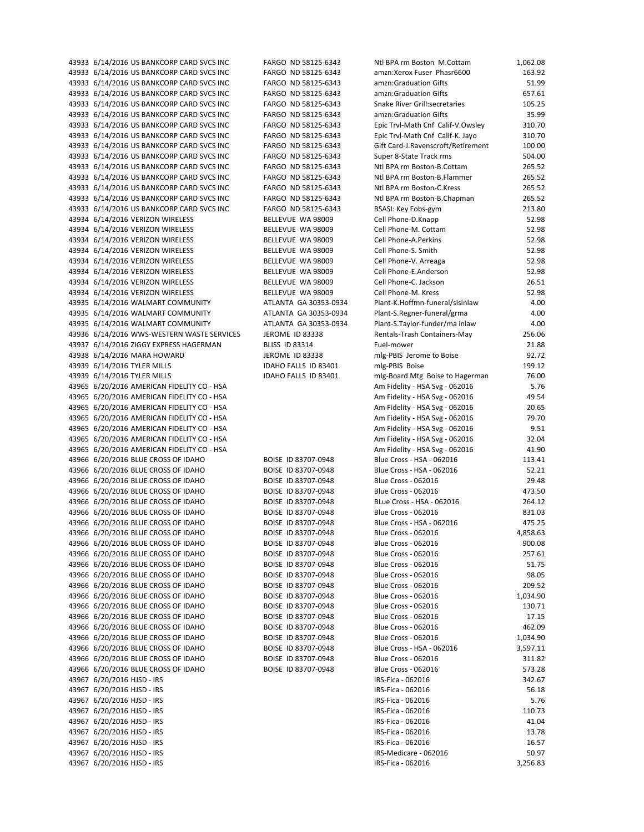| 43933 6/14/2016 US BANKCORP CARD SVCS INC                                  | FARGO ND 58125-6343                        | Ntl BPA rm Boston M.Cottam                               | 1,062.08         |
|----------------------------------------------------------------------------|--------------------------------------------|----------------------------------------------------------|------------------|
| 43933 6/14/2016 US BANKCORP CARD SVCS INC                                  | FARGO ND 58125-6343                        | amzn:Xerox Fuser Phasr6600                               | 163.92           |
| 43933 6/14/2016 US BANKCORP CARD SVCS INC                                  | FARGO ND 58125-6343                        | amzn:Graduation Gifts                                    | 51.99            |
| 43933 6/14/2016 US BANKCORP CARD SVCS INC                                  | FARGO ND 58125-6343                        | amzn:Graduation Gifts                                    | 657.61           |
| 43933 6/14/2016 US BANKCORP CARD SVCS INC                                  | FARGO ND 58125-6343                        | <b>Snake River Grill:secretaries</b>                     | 105.25           |
| 43933 6/14/2016 US BANKCORP CARD SVCS INC                                  | FARGO ND 58125-6343                        | amzn:Graduation Gifts                                    | 35.99            |
| 43933 6/14/2016 US BANKCORP CARD SVCS INC                                  | FARGO ND 58125-6343                        | Epic Trvl-Math Cnf Calif-V.Owsley                        | 310.70           |
| 43933 6/14/2016 US BANKCORP CARD SVCS INC                                  | FARGO ND 58125-6343                        | Epic Trvl-Math Cnf Calif-K. Jayo                         | 310.70           |
| 43933 6/14/2016 US BANKCORP CARD SVCS INC                                  | FARGO ND 58125-6343                        | Gift Card-J.Ravenscroft/Retirement                       | 100.00           |
| 43933 6/14/2016 US BANKCORP CARD SVCS INC                                  | FARGO ND 58125-6343                        | Super 8-State Track rms                                  | 504.00           |
| 43933 6/14/2016 US BANKCORP CARD SVCS INC                                  | FARGO ND 58125-6343                        | Ntl BPA rm Boston-B.Cottam                               | 265.52           |
| 43933 6/14/2016 US BANKCORP CARD SVCS INC                                  | FARGO ND 58125-6343                        | Ntl BPA rm Boston-B.Flammer                              | 265.52           |
| 43933 6/14/2016 US BANKCORP CARD SVCS INC                                  | FARGO ND 58125-6343                        | Ntl BPA rm Boston-C.Kress                                | 265.52           |
| 43933 6/14/2016 US BANKCORP CARD SVCS INC                                  | FARGO ND 58125-6343                        | Ntl BPA rm Boston-B.Chapman                              | 265.52           |
| 43933 6/14/2016 US BANKCORP CARD SVCS INC                                  | FARGO ND 58125-6343                        | BSASI: Key Fobs-gym                                      | 213.80           |
| 43934 6/14/2016 VERIZON WIRELESS                                           | BELLEVUE WA 98009                          | Cell Phone-D.Knapp                                       | 52.98            |
| 43934 6/14/2016 VERIZON WIRELESS                                           | BELLEVUE WA 98009                          | Cell Phone-M. Cottam                                     | 52.98            |
| 43934 6/14/2016 VERIZON WIRELESS                                           | BELLEVUE WA 98009                          | Cell Phone-A.Perkins                                     | 52.98            |
| 43934 6/14/2016 VERIZON WIRELESS                                           | BELLEVUE WA 98009                          | Cell Phone-S. Smith                                      | 52.98            |
| 43934 6/14/2016 VERIZON WIRELESS                                           | BELLEVUE WA 98009                          | Cell Phone-V. Arreaga                                    | 52.98            |
| 43934 6/14/2016 VERIZON WIRELESS                                           | BELLEVUE WA 98009                          | Cell Phone-E.Anderson                                    | 52.98            |
| 43934 6/14/2016 VERIZON WIRELESS                                           | BELLEVUE WA 98009                          | Cell Phone-C. Jackson                                    | 26.51            |
| 43934 6/14/2016 VERIZON WIRELESS                                           | BELLEVUE WA 98009                          | Cell Phone-M. Kress                                      | 52.98            |
| 43935 6/14/2016 WALMART COMMUNITY                                          | ATLANTA GA 30353-0934                      | Plant-K.Hoffmn-funeral/sisinlaw                          | 4.00             |
| 43935 6/14/2016 WALMART COMMUNITY                                          | ATLANTA GA 30353-0934                      | Plant-S.Regner-funeral/grma                              | 4.00             |
| 43935 6/14/2016 WALMART COMMUNITY                                          | ATLANTA GA 30353-0934                      | Plant-S.Taylor-funder/ma inlaw                           | 4.00             |
| 43936 6/14/2016 WWS-WESTERN WASTE SERVICES                                 | JEROME ID 83338                            | Rentals-Trash Containers-May                             | 256.06           |
| 43937 6/14/2016 ZIGGY EXPRESS HAGERMAN                                     | <b>BLISS ID 83314</b>                      | Fuel-mower                                               | 21.88            |
| 43938 6/14/2016 MARA HOWARD                                                | JEROME ID 83338                            | mlg-PBIS Jerome to Boise                                 | 92.72            |
| 43939 6/14/2016 TYLER MILLS                                                | IDAHO FALLS ID 83401                       | mlg-PBIS Boise                                           | 199.12           |
| 43939 6/14/2016 TYLER MILLS                                                | IDAHO FALLS ID 83401                       | mlg-Board Mtg Boise to Hagerman                          | 76.00            |
| 43965 6/20/2016 AMERICAN FIDELITY CO - HSA                                 |                                            | Am Fidelity - HSA Svg - 062016                           | 5.76             |
| 43965 6/20/2016 AMERICAN FIDELITY CO - HSA                                 |                                            | Am Fidelity - HSA Svg - 062016                           | 49.54            |
| 43965 6/20/2016 AMERICAN FIDELITY CO - HSA                                 |                                            | Am Fidelity - HSA Svg - 062016                           | 20.65            |
| 43965 6/20/2016 AMERICAN FIDELITY CO - HSA                                 |                                            | Am Fidelity - HSA Svg - 062016                           | 79.70            |
| 43965 6/20/2016 AMERICAN FIDELITY CO - HSA                                 |                                            | Am Fidelity - HSA Svg - 062016                           | 9.51             |
| 43965 6/20/2016 AMERICAN FIDELITY CO - HSA                                 |                                            | Am Fidelity - HSA Svg - 062016                           | 32.04            |
| 43965 6/20/2016 AMERICAN FIDELITY CO - HSA                                 |                                            | Am Fidelity - HSA Svg - 062016                           | 41.90            |
| 43966 6/20/2016 BLUE CROSS OF IDAHO                                        | BOISE ID 83707-0948                        | Blue Cross - HSA - 062016                                | 113.41           |
| 43966 6/20/2016 BLUE CROSS OF IDAHO                                        | BOISE ID 83707-0948                        | Blue Cross - HSA - 062016                                | 52.21            |
| 43966 6/20/2016 BLUE CROSS OF IDAHO                                        | BOISE ID 83707-0948                        | <b>Blue Cross - 062016</b>                               | 29.48            |
| 43966 6/20/2016 BLUE CROSS OF IDAHO                                        | BOISE ID 83707-0948                        | <b>Blue Cross - 062016</b>                               | 473.50           |
| 43966 6/20/2016 BLUE CROSS OF IDAHO                                        | BOISE ID 83707-0948                        | BLue Cross - HSA - 062016                                | 264.12           |
| 43966 6/20/2016 BLUE CROSS OF IDAHO                                        | BOISE ID 83707-0948<br>BOISE ID 83707-0948 | <b>Blue Cross - 062016</b>                               | 831.03           |
| 43966 6/20/2016 BLUE CROSS OF IDAHO                                        |                                            | Blue Cross - HSA - 062016                                | 475.25           |
| 43966 6/20/2016 BLUE CROSS OF IDAHO                                        | BOISE ID 83707-0948                        | <b>Blue Cross - 062016</b>                               | 4,858.63         |
| 43966 6/20/2016 BLUE CROSS OF IDAHO                                        | BOISE ID 83707-0948                        | <b>Blue Cross - 062016</b>                               | 900.08<br>257.61 |
| 43966 6/20/2016 BLUE CROSS OF IDAHO<br>43966 6/20/2016 BLUE CROSS OF IDAHO | BOISE ID 83707-0948<br>BOISE ID 83707-0948 | <b>Blue Cross - 062016</b><br><b>Blue Cross - 062016</b> |                  |
| 43966 6/20/2016 BLUE CROSS OF IDAHO                                        | BOISE ID 83707-0948                        | <b>Blue Cross - 062016</b>                               | 51.75<br>98.05   |
| 43966 6/20/2016 BLUE CROSS OF IDAHO                                        | BOISE ID 83707-0948                        | <b>Blue Cross - 062016</b>                               | 209.52           |
| 43966 6/20/2016 BLUE CROSS OF IDAHO                                        | BOISE ID 83707-0948                        | <b>Blue Cross - 062016</b>                               | 1,034.90         |
| 43966 6/20/2016 BLUE CROSS OF IDAHO                                        | BOISE ID 83707-0948                        | <b>Blue Cross - 062016</b>                               | 130.71           |
| 43966 6/20/2016 BLUE CROSS OF IDAHO                                        | BOISE ID 83707-0948                        | <b>Blue Cross - 062016</b>                               | 17.15            |
| 43966 6/20/2016 BLUE CROSS OF IDAHO                                        | BOISE ID 83707-0948                        | <b>Blue Cross - 062016</b>                               | 462.09           |
| 43966 6/20/2016 BLUE CROSS OF IDAHO                                        | BOISE ID 83707-0948                        | <b>Blue Cross - 062016</b>                               | 1,034.90         |
| 43966 6/20/2016 BLUE CROSS OF IDAHO                                        | BOISE ID 83707-0948                        | Blue Cross - HSA - 062016                                | 3,597.11         |
| 43966 6/20/2016 BLUE CROSS OF IDAHO                                        | BOISE ID 83707-0948                        | <b>Blue Cross - 062016</b>                               | 311.82           |
| 43966 6/20/2016 BLUE CROSS OF IDAHO                                        | BOISE ID 83707-0948                        | <b>Blue Cross - 062016</b>                               | 573.28           |
| 43967 6/20/2016 HJSD - IRS                                                 |                                            | IRS-Fica - 062016                                        | 342.67           |
| 43967 6/20/2016 HJSD - IRS                                                 |                                            | IRS-Fica - 062016                                        | 56.18            |
| 43967 6/20/2016 HJSD - IRS                                                 |                                            | IRS-Fica - 062016                                        | 5.76             |
| 43967 6/20/2016 HJSD - IRS                                                 |                                            | IRS-Fica - 062016                                        | 110.73           |
| 43967 6/20/2016 HJSD - IRS                                                 |                                            | IRS-Fica - 062016                                        | 41.04            |
| 43967 6/20/2016 HJSD - IRS                                                 |                                            | IRS-Fica - 062016                                        | 13.78            |
| 43967 6/20/2016 HJSD - IRS                                                 |                                            | IRS-Fica - 062016                                        | 16.57            |
| 43967 6/20/2016 HJSD - IRS                                                 |                                            | IRS-Medicare - 062016                                    | 50.97            |
| 43967 6/20/2016 HJSD - IRS                                                 |                                            | IRS-Fica - 062016                                        | 3.256.83         |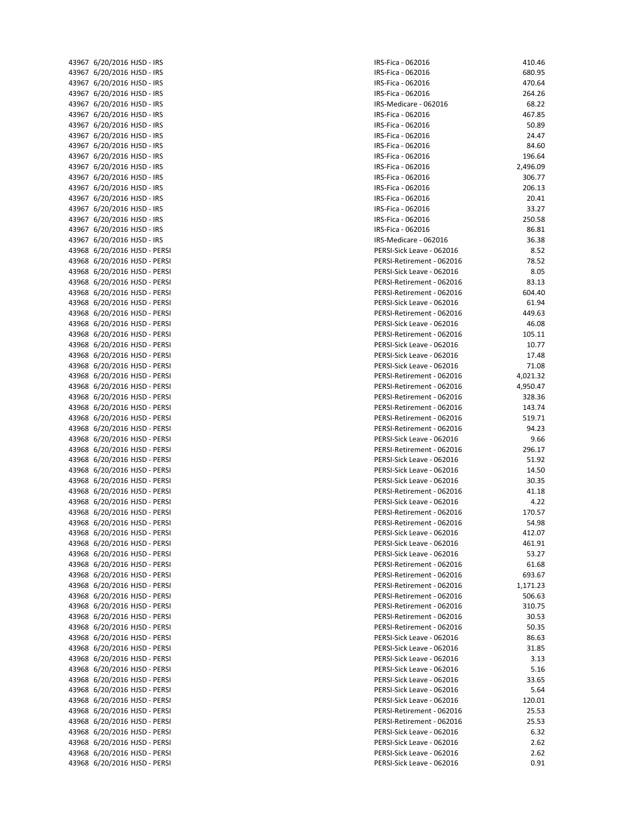| 43967 6/20/2016 HJSD - IRS   | IRS-Fi       |
|------------------------------|--------------|
| 43967 6/20/2016 HJSD - IRS   | IRS-Fi       |
| 43967 6/20/2016 HJSD - IRS   | IRS-Fi       |
| 43967 6/20/2016 HJSD - IRS   | IRS-Fi       |
| 43967 6/20/2016 HJSD - IRS   | IRS-M        |
|                              |              |
| 43967 6/20/2016 HJSD - IRS   | IRS-Fi       |
| 43967 6/20/2016 HJSD - IRS   | IRS-Fi       |
| 43967 6/20/2016 HJSD - IRS   | IRS-Fi       |
| 43967 6/20/2016 HJSD - IRS   | IRS-Fi       |
| 43967 6/20/2016 HJSD - IRS   | IRS-Fi       |
| 43967 6/20/2016 HJSD - IRS   | IRS-Fi       |
| 43967 6/20/2016 HJSD - IRS   | IRS-Fi       |
|                              |              |
| 43967 6/20/2016 HJSD - IRS   | IRS-Fi       |
| 43967 6/20/2016 HJSD - IRS   | IRS-Fi       |
| 43967 6/20/2016 HJSD - IRS   | IRS-Fi       |
| 43967 6/20/2016 HJSD - IRS   | IRS-Fi       |
| 43967 6/20/2016 HJSD - IRS   | IRS-Fi       |
| 43967 6/20/2016 HJSD - IRS   | IRS-M        |
| 43968 6/20/2016 HJSD - PERSI | PERSI        |
| 43968 6/20/2016 HJSD - PERSI | PERSI        |
| 43968 6/20/2016 HJSD - PERSI | PERSI        |
|                              |              |
| 43968 6/20/2016 HJSD - PERSI | PERSI        |
| 43968 6/20/2016 HJSD - PERSI | PERSI        |
| 43968 6/20/2016 HJSD - PERSI | PERSI        |
| 43968 6/20/2016 HJSD - PERSI | PERSI        |
| 43968 6/20/2016 HJSD - PERSI | PERSI        |
| 43968 6/20/2016 HJSD - PERSI | PERSI        |
| 43968 6/20/2016 HJSD - PERSI | PERSI        |
| 43968 6/20/2016 HJSD - PERSI | PERSI        |
| 43968 6/20/2016 HJSD - PERSI | PERSI        |
|                              |              |
| 43968 6/20/2016 HJSD - PERSI | PERSI        |
| 43968 6/20/2016 HJSD - PERSI | PERSI        |
| 43968 6/20/2016 HJSD - PERSI | PERSI        |
| 43968 6/20/2016 HJSD - PERSI | PERSI        |
| 43968 6/20/2016 HJSD - PERSI | PERSI        |
| 43968 6/20/2016 HJSD - PERSI | PERSI        |
| 43968 6/20/2016 HJSD - PERSI | PERSI        |
| 43968 6/20/2016 HJSD - PERSI | PERSI        |
|                              |              |
| 43968 6/20/2016 HJSD - PERSI | PERSI        |
| 43968 6/20/2016 HJSD - PERSI | PERSI        |
| 43968 6/20/2016 HJSD - PERSI | PERSI        |
| 43968 6/20/2016 HJSD - PERSI | PERSI        |
| 43968 6/20/2016 HJSD - PERSI | PERSI        |
| 43968 6/20/2016 HJSD - PERSI | PERSI        |
| 43968 6/20/2016 HJSD - PERSI | PERSI        |
| 43968 6/20/2016 HJSD - PERSI | PERSI        |
|                              |              |
| 43968 6/20/2016 HJSD - PERSI | PERSI        |
| 43968 6/20/2016 HJSD - PERSI | PERSI        |
| 43968 6/20/2016 HJSD - PERSI | PERSI        |
| 43968 6/20/2016 HJSD - PERSI | PERSI        |
| 43968 6/20/2016 HJSD - PERSI | PERSI        |
| 43968 6/20/2016 HJSD - PERSI | PERSI        |
| 43968 6/20/2016 HJSD - PERSI | PERSI        |
| 43968 6/20/2016 HJSD - PERSI | PERSI        |
|                              |              |
| 43968 6/20/2016 HJSD - PERSI | PERSI        |
| 43968 6/20/2016 HJSD - PERSI | PERSI        |
| 43968 6/20/2016 HJSD - PERSI | PERSI        |
| 43968 6/20/2016 HJSD - PERSI | PERSI        |
| 43968 6/20/2016 HJSD - PERSI | PERSI        |
| 43968 6/20/2016 HJSD - PERSI | PERSI        |
| 43968 6/20/2016 HJSD - PERSI | PERSI        |
| 43968 6/20/2016 HJSD - PERSI | PERSI        |
| 43968 6/20/2016 HJSD - PERSI | PERSI        |
|                              |              |
| 43968 6/20/2016 HJSD - PERSI | PERSI        |
| 43968 6/20/2016 HJSD - PERSI | PERSI        |
| 43968 6/20/2016 HJSD - PERSI | PERSI        |
| 43968 6/20/2016 HJSD - PERSI | <b>PERSI</b> |
| 43968 6/20/2016 HJSD - PERSI | PERSI        |

| IRS-Fica - 062016         | 410.46   |
|---------------------------|----------|
| IRS-Fica - 062016         | 680.95   |
| IRS-Fica - 062016         | 470.64   |
| IRS-Fica - 062016         | 264.26   |
| IRS-Medicare - 062016     | 68.22    |
|                           |          |
| IRS-Fica - 062016         | 467.85   |
| IRS-Fica - 062016         | 50.89    |
| IRS-Fica - 062016         | 24.47    |
| IRS-Fica - 062016         | 84.60    |
| IRS-Fica - 062016         | 196.64   |
| IRS-Fica - 062016         | 2,496.09 |
| IRS-Fica - 062016         | 306.77   |
| IRS-Fica - 062016         | 206.13   |
| IRS-Fica - 062016         | 20.41    |
| IRS-Fica - 062016         | 33.27    |
| IRS-Fica - 062016         | 250.58   |
| IRS-Fica - 062016         | 86.81    |
| IRS-Medicare - 062016     | 36.38    |
| PERSI-Sick Leave - 062016 | 8.52     |
| PERSI-Retirement - 062016 | 78.52    |
| PERSI-Sick Leave - 062016 | 8.05     |
| PERSI-Retirement - 062016 | 83.13    |
| PERSI-Retirement - 062016 | 604.40   |
| PERSI-Sick Leave - 062016 | 61.94    |
| PERSI-Retirement - 062016 | 449.63   |
|                           |          |
| PERSI-Sick Leave - 062016 | 46.08    |
| PERSI-Retirement - 062016 | 105.11   |
| PERSI-Sick Leave - 062016 | 10.77    |
| PERSI-Sick Leave - 062016 | 17.48    |
| PERSI-Sick Leave - 062016 | 71.08    |
| PERSI-Retirement - 062016 | 4,021.32 |
| PERSI-Retirement - 062016 | 4,950.47 |
| PERSI-Retirement - 062016 | 328.36   |
| PERSI-Retirement - 062016 | 143.74   |
| PERSI-Retirement - 062016 | 519.71   |
| PERSI-Retirement - 062016 | 94.23    |
| PERSI-Sick Leave - 062016 | 9.66     |
| PERSI-Retirement - 062016 | 296.17   |
| PERSI-Sick Leave - 062016 | 51.92    |
| PERSI-Sick Leave - 062016 | 14.50    |
| PERSI-Sick Leave - 062016 | 30.35    |
| PERSI-Retirement - 062016 | 41.18    |
| PERSI-Sick Leave - 062016 | 4.22     |
| PERSI-Retirement - 062016 | 170.57   |
| PERSI-Retirement - 062016 | 54.98    |
| PERSI-Sick Leave - 062016 | 412.07   |
| PERSI-Sick Leave - 062016 | 461.91   |
| PERSI-Sick Leave - 062016 | 53.27    |
| PERSI-Retirement - 062016 | 61.68    |
| PERSI-Retirement - 062016 | 693.67   |
|                           |          |
| PERSI-Retirement - 062016 | 1,171.23 |
| PERSI-Retirement - 062016 | 506.63   |
| PERSI-Retirement - 062016 | 310.75   |
| PERSI-Retirement - 062016 | 30.53    |
| PERSI-Retirement - 062016 | 50.35    |
| PERSI-Sick Leave - 062016 | 86.63    |
| PERSI-Sick Leave - 062016 | 31.85    |
| PERSI-Sick Leave - 062016 | 3.13     |
| PERSI-Sick Leave - 062016 | 5.16     |
| PERSI-Sick Leave - 062016 | 33.65    |
| PERSI-Sick Leave - 062016 | 5.64     |
| PERSI-Sick Leave - 062016 | 120.01   |
| PERSI-Retirement - 062016 | 25.53    |
| PERSI-Retirement - 062016 | 25.53    |
| PERSI-Sick Leave - 062016 | 6.32     |
| PERSI-Sick Leave - 062016 | 2.62     |
| PERSI-Sick Leave - 062016 | 2.62     |
| PERSI-Sick Leave - 062016 | 0.91     |
|                           |          |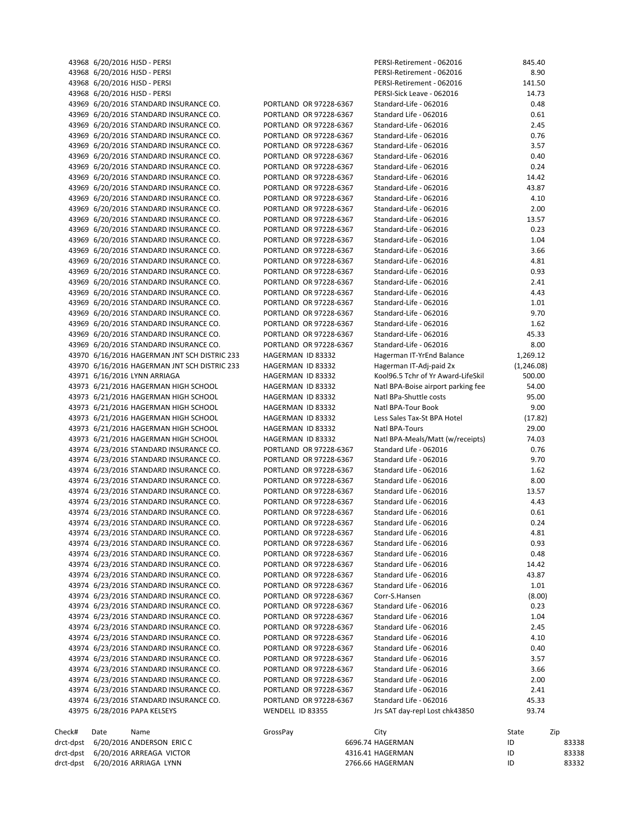| drct-dpst              | 6/20/2016 ARRIAGA LYNN                                                           |                                                  | 4316.41 HAGERMAN<br>2766.66 HAGERMAN             | ID<br>ID         | 83332          |
|------------------------|----------------------------------------------------------------------------------|--------------------------------------------------|--------------------------------------------------|------------------|----------------|
| drct-dpst<br>drct-dpst | 6/20/2016 ANDERSON ERIC C<br>6/20/2016 ARREAGA VICTOR                            |                                                  | 6696.74 HAGERMAN                                 | ID               | 83338<br>83338 |
| Check#                 | Date<br>Name                                                                     | GrossPay                                         | City                                             | State            | Zip            |
|                        | 43975 6/28/2016 PAPA KELSEYS                                                     | WENDELL ID 83355                                 | Jrs SAT day-repl Lost chk43850                   | 93.74            |                |
|                        | 43974 6/23/2016 STANDARD INSURANCE CO.                                           | PORTLAND OR 97228-6367                           | Standard Life - 062016                           | 45.33            |                |
|                        | 43974 6/23/2016 STANDARD INSURANCE CO.                                           | PORTLAND OR 97228-6367                           | Standard Life - 062016                           | 2.41             |                |
|                        | 43974 6/23/2016 STANDARD INSURANCE CO.                                           | PORTLAND OR 97228-6367                           | Standard Life - 062016                           | 2.00             |                |
|                        | 43974 6/23/2016 STANDARD INSURANCE CO.                                           | PORTLAND OR 97228-6367                           | Standard Life - 062016                           | 3.66             |                |
|                        | 43974 6/23/2016 STANDARD INSURANCE CO.                                           | PORTLAND OR 97228-6367                           | Standard Life - 062016<br>Standard Life - 062016 | 0.40<br>3.57     |                |
|                        | 43974 6/23/2016 STANDARD INSURANCE CO.<br>43974 6/23/2016 STANDARD INSURANCE CO. | PORTLAND OR 97228-6367<br>PORTLAND OR 97228-6367 | Standard Life - 062016                           | 4.10             |                |
|                        | 43974 6/23/2016 STANDARD INSURANCE CO.                                           | PORTLAND OR 97228-6367                           | Standard Life - 062016                           | 2.45             |                |
|                        | 43974 6/23/2016 STANDARD INSURANCE CO.                                           | PORTLAND OR 97228-6367                           | Standard Life - 062016                           | 1.04             |                |
|                        | 43974 6/23/2016 STANDARD INSURANCE CO.                                           | PORTLAND OR 97228-6367                           | Standard Life - 062016                           | 0.23             |                |
|                        | 43974 6/23/2016 STANDARD INSURANCE CO.                                           | PORTLAND OR 97228-6367                           | Corr-S.Hansen                                    | (8.00)           |                |
|                        | 43974 6/23/2016 STANDARD INSURANCE CO.                                           | PORTLAND OR 97228-6367                           | Standard Life - 062016                           | 1.01             |                |
|                        | 43974 6/23/2016 STANDARD INSURANCE CO.                                           | PORTLAND OR 97228-6367                           | Standard Life - 062016                           | 43.87            |                |
|                        | 43974 6/23/2016 STANDARD INSURANCE CO.                                           | PORTLAND OR 97228-6367                           | Standard Life - 062016                           | 14.42            |                |
|                        | 43974 6/23/2016 STANDARD INSURANCE CO.                                           | PORTLAND OR 97228-6367<br>PORTLAND OR 97228-6367 | Standard Life - 062016<br>Standard Life - 062016 | 0.93<br>0.48     |                |
|                        | 43974 6/23/2016 STANDARD INSURANCE CO.<br>43974 6/23/2016 STANDARD INSURANCE CO. | PORTLAND OR 97228-6367                           | Standard Life - 062016                           | 4.81             |                |
|                        | 43974 6/23/2016 STANDARD INSURANCE CO.                                           | PORTLAND OR 97228-6367                           | Standard Life - 062016                           | 0.24             |                |
|                        | 43974 6/23/2016 STANDARD INSURANCE CO.                                           | PORTLAND OR 97228-6367                           | Standard Life - 062016                           | 0.61             |                |
|                        | 43974 6/23/2016 STANDARD INSURANCE CO.                                           | PORTLAND OR 97228-6367                           | Standard Life - 062016                           | 4.43             |                |
|                        | 43974 6/23/2016 STANDARD INSURANCE CO.                                           | PORTLAND OR 97228-6367                           | Standard Life - 062016                           | 13.57            |                |
|                        | 43974 6/23/2016 STANDARD INSURANCE CO.                                           | PORTLAND OR 97228-6367                           | Standard Life - 062016                           | 8.00             |                |
|                        | 43974 6/23/2016 STANDARD INSURANCE CO.                                           | PORTLAND OR 97228-6367                           | Standard Life - 062016                           | 1.62             |                |
|                        | 43974 6/23/2016 STANDARD INSURANCE CO.                                           | PORTLAND OR 97228-6367                           | Standard Life - 062016                           | 9.70             |                |
|                        | 43974 6/23/2016 STANDARD INSURANCE CO.                                           | PORTLAND OR 97228-6367                           | Standard Life - 062016                           | 0.76             |                |
|                        | 43973 6/21/2016 HAGERMAN HIGH SCHOOL                                             | HAGERMAN ID 83332                                | Natl BPA-Meals/Matt (w/receipts)                 | 74.03            |                |
|                        | 43973 6/21/2016 HAGERMAN HIGH SCHOOL<br>43973 6/21/2016 HAGERMAN HIGH SCHOOL     | HAGERMAN ID 83332<br>HAGERMAN ID 83332           | Less Sales Tax-St BPA Hotel<br>Natl BPA-Tours    | (17.82)<br>29.00 |                |
|                        | 43973 6/21/2016 HAGERMAN HIGH SCHOOL                                             | HAGERMAN ID 83332                                | Natl BPA-Tour Book                               | 9.00             |                |
|                        | 43973 6/21/2016 HAGERMAN HIGH SCHOOL                                             | HAGERMAN ID 83332                                | Natl BPa-Shuttle costs                           | 95.00            |                |
|                        | 43973 6/21/2016 HAGERMAN HIGH SCHOOL                                             | HAGERMAN ID 83332                                | Natl BPA-Boise airport parking fee               | 54.00            |                |
|                        | 43971 6/16/2016 LYNN ARRIAGA                                                     | HAGERMAN ID 83332                                | Kool96.5 Tchr of Yr Award-LifeSkil               | 500.00           |                |
|                        | 43970 6/16/2016 HAGERMAN JNT SCH DISTRIC 233                                     | HAGERMAN ID 83332                                | Hagerman IT-Adj-paid 2x                          | (1, 246.08)      |                |
|                        | 43970 6/16/2016 HAGERMAN JNT SCH DISTRIC 233                                     | HAGERMAN ID 83332                                | Hagerman IT-YrEnd Balance                        | 1,269.12         |                |
|                        | 43969 6/20/2016 STANDARD INSURANCE CO.                                           | PORTLAND OR 97228-6367                           | Standard-Life - 062016                           | 8.00             |                |
|                        | 43969 6/20/2016 STANDARD INSURANCE CO.                                           | PORTLAND OR 97228-6367                           | Standard-Life - 062016                           | 45.33            |                |
|                        | 43969 6/20/2016 STANDARD INSURANCE CO.                                           | PORTLAND OR 97228-6367                           | Standard-Life - 062016                           | 1.62             |                |
|                        | 43969 6/20/2016 STANDARD INSURANCE CO.                                           | PORTLAND OR 97228-6367                           | Standard-Life - 062016                           | 9.70             |                |
|                        | 43969 6/20/2016 STANDARD INSURANCE CO.                                           | PORTLAND OR 97228-6367                           | Standard-Life - 062016                           | 1.01             |                |
|                        | 43969 6/20/2016 STANDARD INSURANCE CO.<br>43969 6/20/2016 STANDARD INSURANCE CO. | PORTLAND OR 97228-6367<br>PORTLAND OR 97228-6367 | Standard-Life - 062016<br>Standard-Life - 062016 | 2.41<br>4.43     |                |
|                        | 43969 6/20/2016 STANDARD INSURANCE CO.                                           | PORTLAND OR 97228-6367                           | Standard-Life - 062016                           | 0.93             |                |
|                        | 43969 6/20/2016 STANDARD INSURANCE CO.                                           | PORTLAND OR 97228-6367                           | Standard-Life - 062016                           | 4.81             |                |
|                        | 43969 6/20/2016 STANDARD INSURANCE CO.                                           | PORTLAND OR 97228-6367                           | Standard-Life - 062016                           | 3.66             |                |
|                        | 43969 6/20/2016 STANDARD INSURANCE CO.                                           | PORTLAND OR 97228-6367                           | Standard-Life - 062016                           | 1.04             |                |
|                        | 43969 6/20/2016 STANDARD INSURANCE CO.                                           | PORTLAND OR 97228-6367                           | Standard-Life - 062016                           | 0.23             |                |
|                        | 43969 6/20/2016 STANDARD INSURANCE CO.                                           | PORTLAND OR 97228-6367                           | Standard-Life - 062016                           | 13.57            |                |
|                        | 43969 6/20/2016 STANDARD INSURANCE CO.                                           | PORTLAND OR 97228-6367                           | Standard-Life - 062016                           | 2.00             |                |
|                        | 43969 6/20/2016 STANDARD INSURANCE CO.                                           | PORTLAND OR 97228-6367                           | Standard-Life - 062016                           | 4.10             |                |
|                        | 43969 6/20/2016 STANDARD INSURANCE CO.                                           | PORTLAND OR 97228-6367                           | Standard-Life - 062016                           | 43.87            |                |
|                        | 43969 6/20/2016 STANDARD INSURANCE CO.                                           | PORTLAND OR 97228-6367                           | Standard-Life - 062016                           | 14.42            |                |
|                        | 43969 6/20/2016 STANDARD INSURANCE CO.<br>43969 6/20/2016 STANDARD INSURANCE CO. | PORTLAND OR 97228-6367                           | Standard-Life - 062016                           | 0.24             |                |
|                        | 43969 6/20/2016 STANDARD INSURANCE CO.                                           | PORTLAND OR 97228-6367<br>PORTLAND OR 97228-6367 | Standard-Life - 062016<br>Standard-Life - 062016 | 3.57<br>0.40     |                |
|                        | 43969 6/20/2016 STANDARD INSURANCE CO.                                           | PORTLAND OR 97228-6367                           | Standard-Life - 062016                           | 0.76             |                |
|                        | 43969 6/20/2016 STANDARD INSURANCE CO.                                           | PORTLAND OR 97228-6367                           | Standard-Life - 062016                           | 2.45             |                |
|                        | 43969 6/20/2016 STANDARD INSURANCE CO.                                           | PORTLAND OR 97228-6367                           | Standard Life - 062016                           | 0.61             |                |
|                        | 43969 6/20/2016 STANDARD INSURANCE CO.                                           | PORTLAND OR 97228-6367                           | Standard-Life - 062016                           | 0.48             |                |
|                        | 43968 6/20/2016 HJSD - PERSI                                                     |                                                  | PERSI-Sick Leave - 062016                        | 14.73            |                |
|                        | 43968 6/20/2016 HJSD - PERSI                                                     |                                                  | PERSI-Retirement - 062016                        | 141.50           |                |
|                        | 43968 6/20/2016 HJSD - PERSI                                                     |                                                  | PERSI-Retirement - 062016                        | 8.90             |                |
|                        | 43968 6/20/2016 HJSD - PERSI                                                     |                                                  | PERSI-Retirement - 062016                        | 845.40           |                |